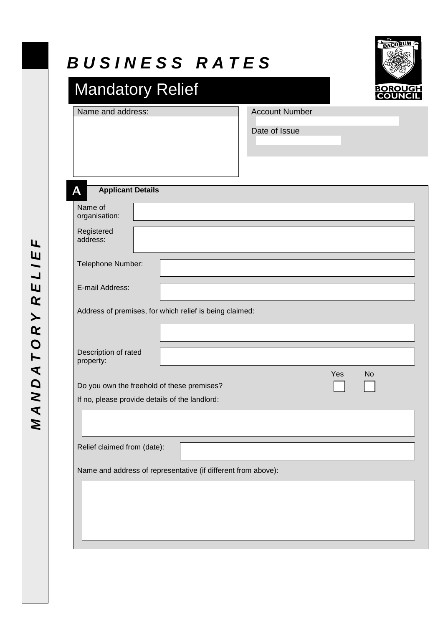| Name and address:                                                                            | <b>Account Number</b><br>Date of Issue |
|----------------------------------------------------------------------------------------------|----------------------------------------|
| <b>Applicant Details</b><br>А                                                                |                                        |
| Name of<br>organisation:                                                                     |                                        |
| Registered<br>address:                                                                       |                                        |
| Telephone Number:                                                                            |                                        |
| E-mail Address:                                                                              |                                        |
| Address of premises, for which relief is being claimed:                                      |                                        |
| Description of rated<br>property:                                                            |                                        |
| Do you own the freehold of these premises?<br>If no, please provide details of the landlord: | Yes<br>No                              |
|                                                                                              |                                        |
| Relief claimed from (date):                                                                  |                                        |
| Name and address of representative (if different from above):                                |                                        |

MANDATORY RELIEF *M A N D A T O R Y R E L I E F*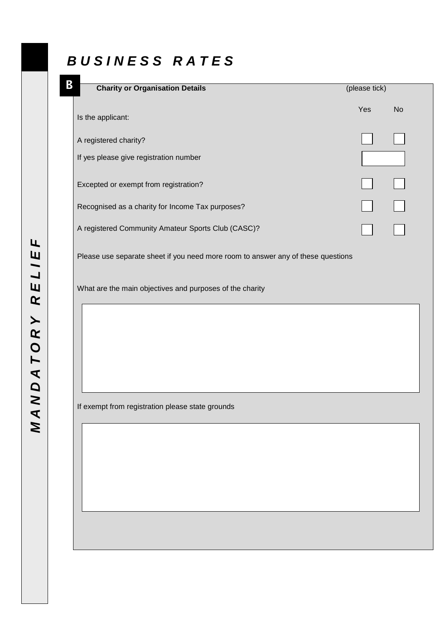# *B U S I N E S S R A T E S*

| B | <b>Charity or Organisation Details</b>                                           | (please tick) |           |
|---|----------------------------------------------------------------------------------|---------------|-----------|
|   | Is the applicant:                                                                | Yes           | <b>No</b> |
|   | A registered charity?                                                            |               |           |
|   | If yes please give registration number                                           |               |           |
|   | Excepted or exempt from registration?                                            |               |           |
|   | Recognised as a charity for Income Tax purposes?                                 |               |           |
|   | A registered Community Amateur Sports Club (CASC)?                               |               |           |
|   | Please use separate sheet if you need more room to answer any of these questions |               |           |
|   | What are the main objectives and purposes of the charity                         |               |           |
|   |                                                                                  |               |           |
|   |                                                                                  |               |           |
|   |                                                                                  |               |           |
|   |                                                                                  |               |           |

If exempt from registration please state grounds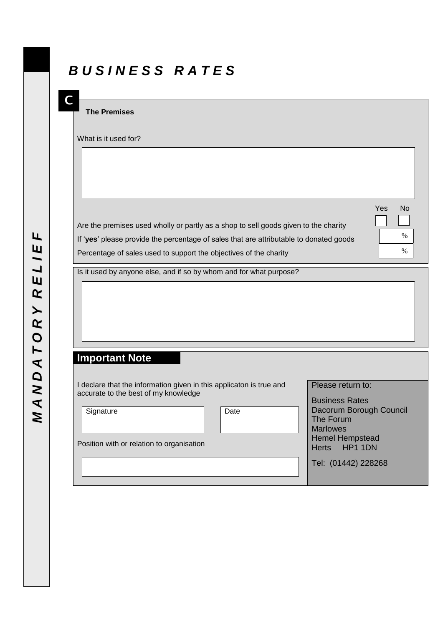## *B U S I N E S S R A T E S*

#### **The Premises**

**C**

What is it used for?

Are the premises used wholly or partly as a shop to sell goods given to the charity If '**yes**' please provide the percentage of sales that are attributable to donated goods Percentage of sales used to support the objectives of the charity

Yes No. 2008. In the second contract of the second contract of the second contract of the No

Is it used by anyone else, and if so by whom and for what purpose?

#### **Important Note**

I declare that the information given in this applicaton is true and accurate to the best of my knowledge

Signature **Date** 

Position with or relation to organisation

Please return to: Business Rates

Dacorum Borough Council The Forum Marlowes Hemel Hempstead Herts HP1 1DN

%

 $\frac{9}{6}$ 

 $\overline{a}$ 

 $\overline{ }$ 

Tel: (01442) 228268